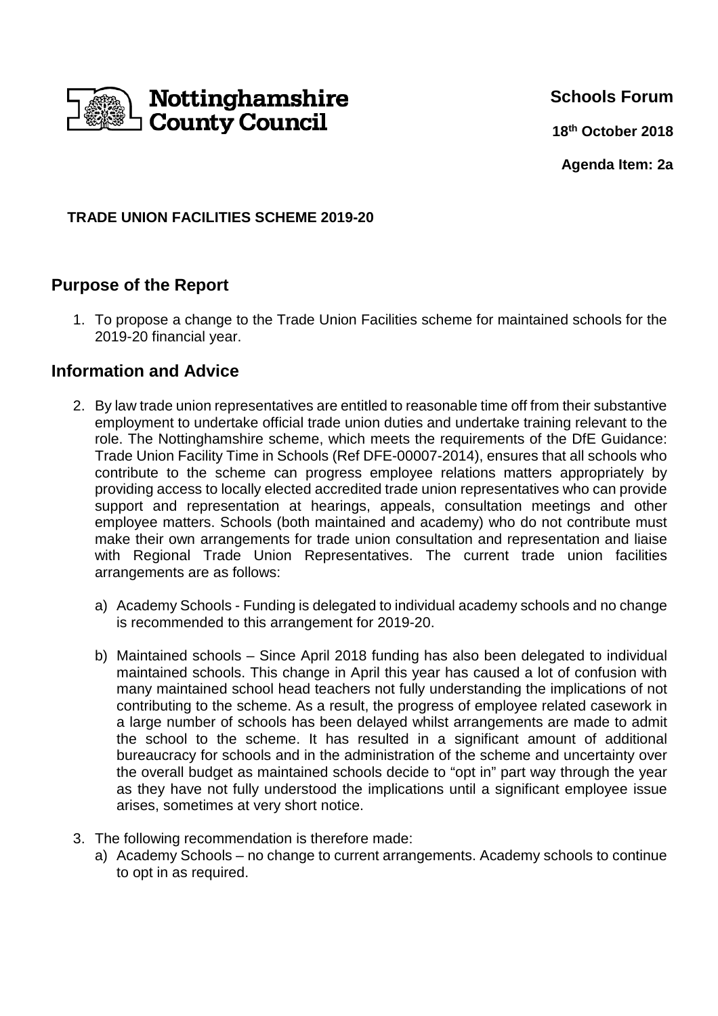

**Schools Forum**

**18th October 2018**

**Agenda Item: 2a**

#### **TRADE UNION FACILITIES SCHEME 2019-20**

# **Purpose of the Report**

1. To propose a change to the Trade Union Facilities scheme for maintained schools for the 2019-20 financial year.

## **Information and Advice**

- 2. By law trade union representatives are entitled to reasonable time off from their substantive employment to undertake official trade union duties and undertake training relevant to the role. The Nottinghamshire scheme, which meets the requirements of the DfE Guidance: Trade Union Facility Time in Schools (Ref DFE-00007-2014), ensures that all schools who contribute to the scheme can progress employee relations matters appropriately by providing access to locally elected accredited trade union representatives who can provide support and representation at hearings, appeals, consultation meetings and other employee matters. Schools (both maintained and academy) who do not contribute must make their own arrangements for trade union consultation and representation and liaise with Regional Trade Union Representatives. The current trade union facilities arrangements are as follows:
	- a) Academy Schools Funding is delegated to individual academy schools and no change is recommended to this arrangement for 2019-20.
	- b) Maintained schools Since April 2018 funding has also been delegated to individual maintained schools. This change in April this year has caused a lot of confusion with many maintained school head teachers not fully understanding the implications of not contributing to the scheme. As a result, the progress of employee related casework in a large number of schools has been delayed whilst arrangements are made to admit the school to the scheme. It has resulted in a significant amount of additional bureaucracy for schools and in the administration of the scheme and uncertainty over the overall budget as maintained schools decide to "opt in" part way through the year as they have not fully understood the implications until a significant employee issue arises, sometimes at very short notice.
- 3. The following recommendation is therefore made:
	- a) Academy Schools no change to current arrangements. Academy schools to continue to opt in as required.